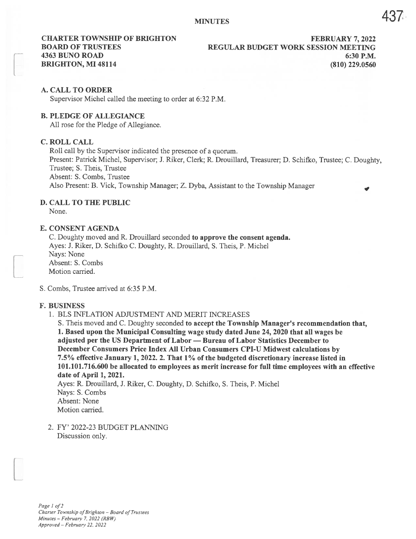# A. CALL TO ORDER

Supervisor Michel called the meeting to order at 6:32 P.M.

## B. PLEDGE OF ALLEGIANCE

All rose for the Pledge of Allegiance.

#### C. ROLL CALL

Roll call by the Supervisor indicated the presence of <sup>a</sup> quorum.

Present: Patrick Michel, Supervisor; J. Riker, Clerk; R. Drouillard, Treasurer; D. Schifko, Trustee; C. Doughty, Trustee; S. Theis, Trustee

Absent: S. Combs, Trustee

Also Present: B. Vick, Township Manager; Z. Dyba, Assistant to the Township Manager

# D. CALL TO THE PUBLIC

None.

# E. CONSENT AGENDA

C. Doughty moved and R. Drouillard seconded to approve the consent agenda. Ayes: J. Riker, D. Schifko C. Doughty, R. Drouillard, S. Theis, P. Michel Nays: None Absent: S. Combs Motion carried.

S. Combs, Trustee arrived at 6:35 P.M.

#### F. BUSINESS

1. BLS INFLATION ADJUSTMENT AND MERIT INCREASES

S. Theis moved and C. Doughty seconded to accept the Township Manager's recommendation that, 1. Based upon the Municipal Consulting wage study dated June 24, 2020 that all wages be adjusted per the US Department of Labor — Bureau of Labor Statistics December to December Consumers Price Index All Urban Consumers CPI-U Midwest calculations by 7.5% effective January 1, 2022. 2. That 1% of the budgeted discretionary increase listed in 101.101.716.600 be allocated to employees as merit increase for full time employees with an effective date of April 1, 2021.

Ayes: R. Drouillard, J. Riker, C. Doughty, D. Schifko, S. Theis, P. Michel Nays: S. Combs Absent: None Motion carried.

2. FY' 2022-23 BUDGET PLANMNG Discussion only.